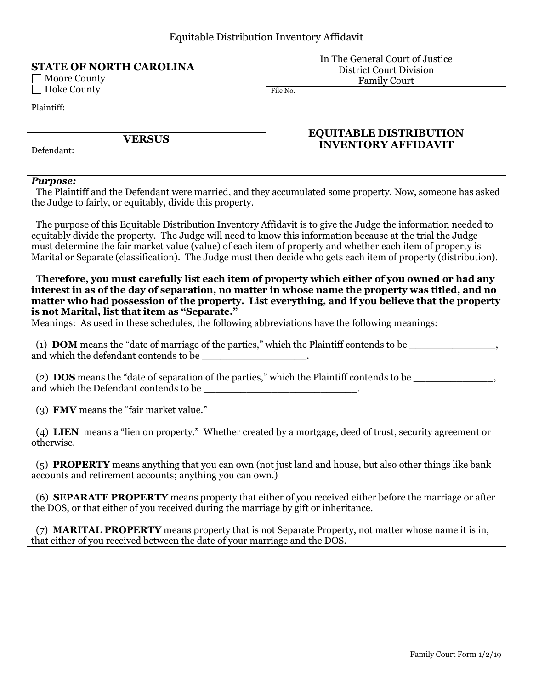| <b>Hoke County</b><br>File No.<br>Plaintiff:<br><b>EQUITABLE DISTRIBUTION</b><br><b>VERSUS</b><br><b>INVENTORY AFFIDAVIT</b><br>Defendant:<br><b>Purpose:</b><br>The Plaintiff and the Defendant were married, and they accumulated some property. Now, someone has asked<br>the Judge to fairly, or equitably, divide this property.<br>The purpose of this Equitable Distribution Inventory Affidavit is to give the Judge the information needed to<br>equitably divide the property. The Judge will need to know this information because at the trial the Judge<br>must determine the fair market value (value) of each item of property and whether each item of property is<br>Marital or Separate (classification). The Judge must then decide who gets each item of property (distribution).<br>Therefore, you must carefully list each item of property which either of you owned or had any<br>interest in as of the day of separation, no matter in whose name the property was titled, and no<br>matter who had possession of the property. List everything, and if you believe that the property<br>is not Marital, list that item as "Separate."<br>Meanings: As used in these schedules, the following abbreviations have the following meanings:<br>(1) <b>DOM</b> means the "date of marriage of the parties," which the Plaintiff contends to be<br>and which the defendant contends to be _____________________.<br>(2) DOS means the "date of separation of the parties," which the Plaintiff contends to be ________________,<br>(3) FMV means the "fair market value."<br>(4) LIEN means a "lien on property." Whether created by a mortgage, deed of trust, security agreement or<br>otherwise.<br>(5) PROPERTY means anything that you can own (not just land and house, but also other things like bank<br>accounts and retirement accounts; anything you can own.)<br>(6) <b>SEPARATE PROPERTY</b> means property that either of you received either before the marriage or after<br>the DOS, or that either of you received during the marriage by gift or inheritance. | <b>STATE OF NORTH CAROLINA</b><br><b>Moore County</b> | In The General Court of Justice<br><b>District Court Division</b><br><b>Family Court</b> |  |  |  |  |  |  |  |  |
|-----------------------------------------------------------------------------------------------------------------------------------------------------------------------------------------------------------------------------------------------------------------------------------------------------------------------------------------------------------------------------------------------------------------------------------------------------------------------------------------------------------------------------------------------------------------------------------------------------------------------------------------------------------------------------------------------------------------------------------------------------------------------------------------------------------------------------------------------------------------------------------------------------------------------------------------------------------------------------------------------------------------------------------------------------------------------------------------------------------------------------------------------------------------------------------------------------------------------------------------------------------------------------------------------------------------------------------------------------------------------------------------------------------------------------------------------------------------------------------------------------------------------------------------------------------------------------------------------------------------------------------------------------------------------------------------------------------------------------------------------------------------------------------------------------------------------------------------------------------------------------------------------------------------------------------------------------------------------------------------------------------------------------------------------------------------------------------------------------|-------------------------------------------------------|------------------------------------------------------------------------------------------|--|--|--|--|--|--|--|--|
|                                                                                                                                                                                                                                                                                                                                                                                                                                                                                                                                                                                                                                                                                                                                                                                                                                                                                                                                                                                                                                                                                                                                                                                                                                                                                                                                                                                                                                                                                                                                                                                                                                                                                                                                                                                                                                                                                                                                                                                                                                                                                                     |                                                       |                                                                                          |  |  |  |  |  |  |  |  |
|                                                                                                                                                                                                                                                                                                                                                                                                                                                                                                                                                                                                                                                                                                                                                                                                                                                                                                                                                                                                                                                                                                                                                                                                                                                                                                                                                                                                                                                                                                                                                                                                                                                                                                                                                                                                                                                                                                                                                                                                                                                                                                     |                                                       |                                                                                          |  |  |  |  |  |  |  |  |
|                                                                                                                                                                                                                                                                                                                                                                                                                                                                                                                                                                                                                                                                                                                                                                                                                                                                                                                                                                                                                                                                                                                                                                                                                                                                                                                                                                                                                                                                                                                                                                                                                                                                                                                                                                                                                                                                                                                                                                                                                                                                                                     |                                                       |                                                                                          |  |  |  |  |  |  |  |  |
|                                                                                                                                                                                                                                                                                                                                                                                                                                                                                                                                                                                                                                                                                                                                                                                                                                                                                                                                                                                                                                                                                                                                                                                                                                                                                                                                                                                                                                                                                                                                                                                                                                                                                                                                                                                                                                                                                                                                                                                                                                                                                                     |                                                       |                                                                                          |  |  |  |  |  |  |  |  |
|                                                                                                                                                                                                                                                                                                                                                                                                                                                                                                                                                                                                                                                                                                                                                                                                                                                                                                                                                                                                                                                                                                                                                                                                                                                                                                                                                                                                                                                                                                                                                                                                                                                                                                                                                                                                                                                                                                                                                                                                                                                                                                     |                                                       |                                                                                          |  |  |  |  |  |  |  |  |
|                                                                                                                                                                                                                                                                                                                                                                                                                                                                                                                                                                                                                                                                                                                                                                                                                                                                                                                                                                                                                                                                                                                                                                                                                                                                                                                                                                                                                                                                                                                                                                                                                                                                                                                                                                                                                                                                                                                                                                                                                                                                                                     |                                                       |                                                                                          |  |  |  |  |  |  |  |  |
|                                                                                                                                                                                                                                                                                                                                                                                                                                                                                                                                                                                                                                                                                                                                                                                                                                                                                                                                                                                                                                                                                                                                                                                                                                                                                                                                                                                                                                                                                                                                                                                                                                                                                                                                                                                                                                                                                                                                                                                                                                                                                                     |                                                       |                                                                                          |  |  |  |  |  |  |  |  |
|                                                                                                                                                                                                                                                                                                                                                                                                                                                                                                                                                                                                                                                                                                                                                                                                                                                                                                                                                                                                                                                                                                                                                                                                                                                                                                                                                                                                                                                                                                                                                                                                                                                                                                                                                                                                                                                                                                                                                                                                                                                                                                     |                                                       |                                                                                          |  |  |  |  |  |  |  |  |
|                                                                                                                                                                                                                                                                                                                                                                                                                                                                                                                                                                                                                                                                                                                                                                                                                                                                                                                                                                                                                                                                                                                                                                                                                                                                                                                                                                                                                                                                                                                                                                                                                                                                                                                                                                                                                                                                                                                                                                                                                                                                                                     |                                                       |                                                                                          |  |  |  |  |  |  |  |  |
|                                                                                                                                                                                                                                                                                                                                                                                                                                                                                                                                                                                                                                                                                                                                                                                                                                                                                                                                                                                                                                                                                                                                                                                                                                                                                                                                                                                                                                                                                                                                                                                                                                                                                                                                                                                                                                                                                                                                                                                                                                                                                                     |                                                       |                                                                                          |  |  |  |  |  |  |  |  |
|                                                                                                                                                                                                                                                                                                                                                                                                                                                                                                                                                                                                                                                                                                                                                                                                                                                                                                                                                                                                                                                                                                                                                                                                                                                                                                                                                                                                                                                                                                                                                                                                                                                                                                                                                                                                                                                                                                                                                                                                                                                                                                     |                                                       |                                                                                          |  |  |  |  |  |  |  |  |
|                                                                                                                                                                                                                                                                                                                                                                                                                                                                                                                                                                                                                                                                                                                                                                                                                                                                                                                                                                                                                                                                                                                                                                                                                                                                                                                                                                                                                                                                                                                                                                                                                                                                                                                                                                                                                                                                                                                                                                                                                                                                                                     |                                                       |                                                                                          |  |  |  |  |  |  |  |  |
| (7) <b>MARITAL PROPERTY</b> means property that is not Separate Property, not matter whose name it is in,<br>that either of you received between the date of your marriage and the DOS.                                                                                                                                                                                                                                                                                                                                                                                                                                                                                                                                                                                                                                                                                                                                                                                                                                                                                                                                                                                                                                                                                                                                                                                                                                                                                                                                                                                                                                                                                                                                                                                                                                                                                                                                                                                                                                                                                                             |                                                       |                                                                                          |  |  |  |  |  |  |  |  |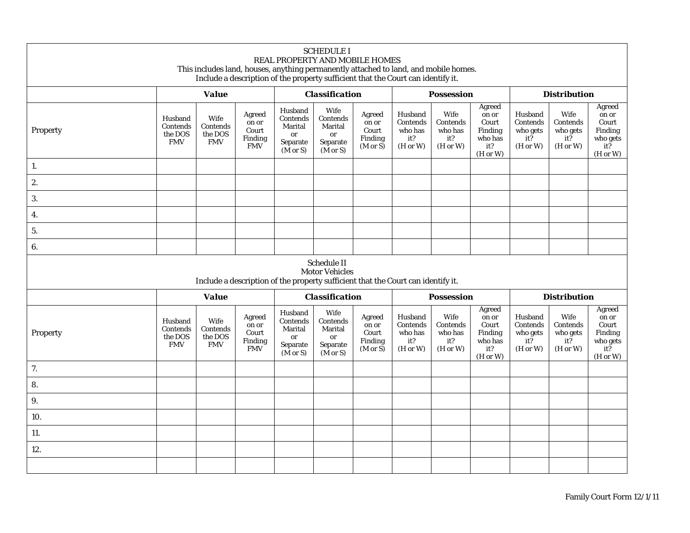|          |                                              | This includes land, houses, anything permanently attached to land, and mobile homes.<br>Include a description of the property sufficient that the Court can identify it. |                                                   | REAL PROPERTY AND MOBILE HOMES                                          | <b>SCHEDULE I</b>                                                           |                                                                     |                                                   |                                                |                                                                   |                                                            |                                                         |                                                                    |
|----------|----------------------------------------------|--------------------------------------------------------------------------------------------------------------------------------------------------------------------------|---------------------------------------------------|-------------------------------------------------------------------------|-----------------------------------------------------------------------------|---------------------------------------------------------------------|---------------------------------------------------|------------------------------------------------|-------------------------------------------------------------------|------------------------------------------------------------|---------------------------------------------------------|--------------------------------------------------------------------|
|          | <b>Value</b>                                 |                                                                                                                                                                          |                                                   | <b>Classification</b>                                                   |                                                                             |                                                                     | <b>Possession</b>                                 |                                                |                                                                   | <b>Distribution</b>                                        |                                                         |                                                                    |
| Property | Husband<br>Contends<br>the DOS<br><b>FMV</b> | Wife<br>Contends<br>the DOS<br><b>FMV</b>                                                                                                                                | Agreed<br>on or<br>Court<br>Finding<br><b>FMV</b> | Husband<br>Contends<br>Marital<br>or<br>Separate<br>$(M \text{ or } S)$ | Wife<br>Contends<br>Marital<br><b>or</b><br>Separate<br>$(M \text{ or } S)$ | Agreed<br>on or<br>Court<br>Finding<br>$(M \text{ or } S)$          | Husband<br>Contends<br>who has<br>it?<br>(H or W) | Wife<br>Contends<br>who has<br>it?<br>(H or W) | Agreed<br>on or<br>Court<br>Finding<br>who has<br>it?<br>(H or W) | Husband<br>Contends<br>who gets<br>it?<br>(H or W)         | Wife<br>Contends<br>who gets<br>it?<br>(H or W)         | Agreed<br>on or<br>Court<br>Finding<br>who gets<br>it?<br>(H or W) |
| 1.       |                                              |                                                                                                                                                                          |                                                   |                                                                         |                                                                             |                                                                     |                                                   |                                                |                                                                   |                                                            |                                                         |                                                                    |
| 2.       |                                              |                                                                                                                                                                          |                                                   |                                                                         |                                                                             |                                                                     |                                                   |                                                |                                                                   |                                                            |                                                         |                                                                    |
| 3.       |                                              |                                                                                                                                                                          |                                                   |                                                                         |                                                                             |                                                                     |                                                   |                                                |                                                                   |                                                            |                                                         |                                                                    |
| 4.       |                                              |                                                                                                                                                                          |                                                   |                                                                         |                                                                             |                                                                     |                                                   |                                                |                                                                   |                                                            |                                                         |                                                                    |
| 5.       |                                              |                                                                                                                                                                          |                                                   |                                                                         |                                                                             |                                                                     |                                                   |                                                |                                                                   |                                                            |                                                         |                                                                    |
| 6.       |                                              |                                                                                                                                                                          |                                                   |                                                                         |                                                                             |                                                                     |                                                   |                                                |                                                                   |                                                            |                                                         |                                                                    |
|          |                                              | Include a description of the property sufficient that the Court can identify it.                                                                                         |                                                   |                                                                         | Schedule II<br><b>Motor Vehicles</b>                                        |                                                                     |                                                   |                                                |                                                                   |                                                            |                                                         |                                                                    |
|          |                                              | <b>Value</b>                                                                                                                                                             |                                                   |                                                                         | <b>Classification</b>                                                       |                                                                     |                                                   | <b>Possession</b>                              |                                                                   |                                                            | <b>Distribution</b>                                     |                                                                    |
| Property | Husband<br>Contends<br>the DOS<br><b>FMV</b> | Wife<br>Contends<br>the DOS<br><b>FMV</b>                                                                                                                                | Agreed<br>on or<br>Court<br>Finding<br><b>FMV</b> | Husband<br>Contends<br>Marital<br>or<br>Separate<br>$(M \text{ or } S)$ | Wife<br>Contends<br>Marital<br>or<br>Separate<br>$(M \text{ or } S)$        | Agreed<br>on or<br>$\mbox{Court}$<br>Finding<br>$(M \text{ or } S)$ | Husband<br>Contends<br>who has<br>it?<br>(H or W) | Wife<br>Contends<br>who has<br>it?<br>(H or W) | Agreed<br>on or<br>Court<br>Finding<br>who has<br>it?<br>(H or W) | Husband<br>Contends<br>who gets<br>$it\bar{?}$<br>(H or W) | Wife<br>Contends<br>who gets<br>$it\bar{?}$<br>(H or W) | Agreed<br>on or<br>Court<br>Finding<br>who gets<br>it?<br>(H or W) |
| 7.       |                                              |                                                                                                                                                                          |                                                   |                                                                         |                                                                             |                                                                     |                                                   |                                                |                                                                   |                                                            |                                                         |                                                                    |
| 8.       |                                              |                                                                                                                                                                          |                                                   |                                                                         |                                                                             |                                                                     |                                                   |                                                |                                                                   |                                                            |                                                         |                                                                    |
| 9.       |                                              |                                                                                                                                                                          |                                                   |                                                                         |                                                                             |                                                                     |                                                   |                                                |                                                                   |                                                            |                                                         |                                                                    |
| 10.      |                                              |                                                                                                                                                                          |                                                   |                                                                         |                                                                             |                                                                     |                                                   |                                                |                                                                   |                                                            |                                                         |                                                                    |
| 11.      |                                              |                                                                                                                                                                          |                                                   |                                                                         |                                                                             |                                                                     |                                                   |                                                |                                                                   |                                                            |                                                         |                                                                    |
| 12.      |                                              |                                                                                                                                                                          |                                                   |                                                                         |                                                                             |                                                                     |                                                   |                                                |                                                                   |                                                            |                                                         |                                                                    |
|          |                                              |                                                                                                                                                                          |                                                   |                                                                         |                                                                             |                                                                     |                                                   |                                                |                                                                   |                                                            |                                                         |                                                                    |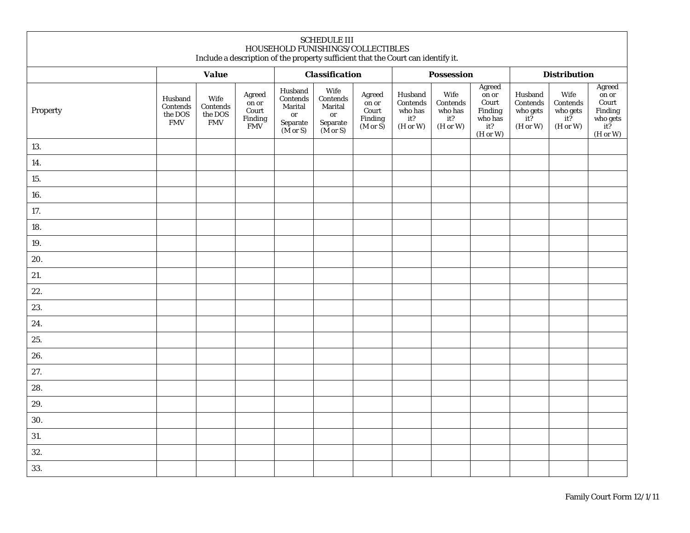| <b>SCHEDULE III</b><br>HOUSEHOLD FUNISHINGS/COLLECTIBLES<br>Include a description of the property sufficient that the Court can identify it. |                                               |                                           |                                                   |                                                                                  |                                                                              |                                                            |                                                   |                                                |                                                                   |                                                            |                                                                                           |                                                                            |  |
|----------------------------------------------------------------------------------------------------------------------------------------------|-----------------------------------------------|-------------------------------------------|---------------------------------------------------|----------------------------------------------------------------------------------|------------------------------------------------------------------------------|------------------------------------------------------------|---------------------------------------------------|------------------------------------------------|-------------------------------------------------------------------|------------------------------------------------------------|-------------------------------------------------------------------------------------------|----------------------------------------------------------------------------|--|
|                                                                                                                                              |                                               | <b>Value</b>                              |                                                   |                                                                                  | <b>Classification</b>                                                        |                                                            |                                                   | <b>Possession</b>                              |                                                                   |                                                            | <b>Distribution</b>                                                                       |                                                                            |  |
| Property                                                                                                                                     | Husband<br>Contends<br>the DOS<br>${\rm FMV}$ | Wife<br>Contends<br>the DOS<br><b>FMV</b> | Agreed<br>on or<br>Court<br>Finding<br><b>FMV</b> | Husband<br>$\mbox{Contents}$<br>Marital<br>or<br>Separate<br>$(M \text{ or } S)$ | Wife<br>Contends<br>Marital<br>or<br>${\bf Separate}$<br>$(M \text{ or } S)$ | Agreed<br>on or<br>Court<br>Finding<br>$(M \text{ or } S)$ | Husband<br>Contends<br>who has<br>it?<br>(H or W) | Wife<br>Contends<br>who has<br>it?<br>(H or W) | Agreed<br>on or<br>Court<br>Finding<br>who has<br>it?<br>(H or W) | Husband<br>Contends<br>who gets<br>$it\bar{?}$<br>(H or W) | Wife<br>Contends<br>who gets $\underset{\textbf{i} \mathbf{t}^? }{\text{ } }$<br>(H or W) | Agreed<br>on or<br>Court<br>Finding<br>who gets<br>$it\bar{?}$<br>(H or W) |  |
| 13.                                                                                                                                          |                                               |                                           |                                                   |                                                                                  |                                                                              |                                                            |                                                   |                                                |                                                                   |                                                            |                                                                                           |                                                                            |  |
| 14.                                                                                                                                          |                                               |                                           |                                                   |                                                                                  |                                                                              |                                                            |                                                   |                                                |                                                                   |                                                            |                                                                                           |                                                                            |  |
| 15.                                                                                                                                          |                                               |                                           |                                                   |                                                                                  |                                                                              |                                                            |                                                   |                                                |                                                                   |                                                            |                                                                                           |                                                                            |  |
| 16.                                                                                                                                          |                                               |                                           |                                                   |                                                                                  |                                                                              |                                                            |                                                   |                                                |                                                                   |                                                            |                                                                                           |                                                                            |  |
| 17.                                                                                                                                          |                                               |                                           |                                                   |                                                                                  |                                                                              |                                                            |                                                   |                                                |                                                                   |                                                            |                                                                                           |                                                                            |  |
| 18.                                                                                                                                          |                                               |                                           |                                                   |                                                                                  |                                                                              |                                                            |                                                   |                                                |                                                                   |                                                            |                                                                                           |                                                                            |  |
| 19.                                                                                                                                          |                                               |                                           |                                                   |                                                                                  |                                                                              |                                                            |                                                   |                                                |                                                                   |                                                            |                                                                                           |                                                                            |  |
| 20.                                                                                                                                          |                                               |                                           |                                                   |                                                                                  |                                                                              |                                                            |                                                   |                                                |                                                                   |                                                            |                                                                                           |                                                                            |  |
| 21.                                                                                                                                          |                                               |                                           |                                                   |                                                                                  |                                                                              |                                                            |                                                   |                                                |                                                                   |                                                            |                                                                                           |                                                                            |  |
| 22.                                                                                                                                          |                                               |                                           |                                                   |                                                                                  |                                                                              |                                                            |                                                   |                                                |                                                                   |                                                            |                                                                                           |                                                                            |  |
| 23.                                                                                                                                          |                                               |                                           |                                                   |                                                                                  |                                                                              |                                                            |                                                   |                                                |                                                                   |                                                            |                                                                                           |                                                                            |  |
| 24.                                                                                                                                          |                                               |                                           |                                                   |                                                                                  |                                                                              |                                                            |                                                   |                                                |                                                                   |                                                            |                                                                                           |                                                                            |  |
| 25.                                                                                                                                          |                                               |                                           |                                                   |                                                                                  |                                                                              |                                                            |                                                   |                                                |                                                                   |                                                            |                                                                                           |                                                                            |  |
| 26.                                                                                                                                          |                                               |                                           |                                                   |                                                                                  |                                                                              |                                                            |                                                   |                                                |                                                                   |                                                            |                                                                                           |                                                                            |  |
| 27.                                                                                                                                          |                                               |                                           |                                                   |                                                                                  |                                                                              |                                                            |                                                   |                                                |                                                                   |                                                            |                                                                                           |                                                                            |  |
| 28.                                                                                                                                          |                                               |                                           |                                                   |                                                                                  |                                                                              |                                                            |                                                   |                                                |                                                                   |                                                            |                                                                                           |                                                                            |  |
| 29.                                                                                                                                          |                                               |                                           |                                                   |                                                                                  |                                                                              |                                                            |                                                   |                                                |                                                                   |                                                            |                                                                                           |                                                                            |  |
| 30.                                                                                                                                          |                                               |                                           |                                                   |                                                                                  |                                                                              |                                                            |                                                   |                                                |                                                                   |                                                            |                                                                                           |                                                                            |  |
| 31.                                                                                                                                          |                                               |                                           |                                                   |                                                                                  |                                                                              |                                                            |                                                   |                                                |                                                                   |                                                            |                                                                                           |                                                                            |  |
| 32.                                                                                                                                          |                                               |                                           |                                                   |                                                                                  |                                                                              |                                                            |                                                   |                                                |                                                                   |                                                            |                                                                                           |                                                                            |  |
| 33.                                                                                                                                          |                                               |                                           |                                                   |                                                                                  |                                                                              |                                                            |                                                   |                                                |                                                                   |                                                            |                                                                                           |                                                                            |  |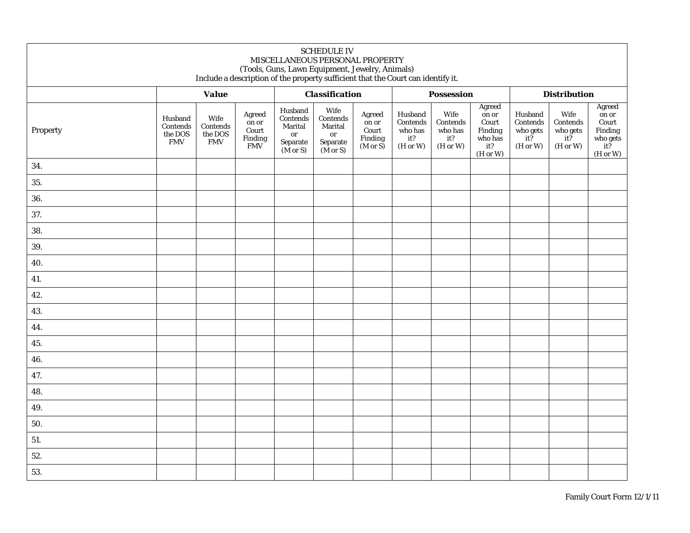| <b>SCHEDULE IV</b><br>MISCELLANEOUS PERSONAL PROPERTY<br>(Tools, Guns, Lawn Equipment, Jewelry, Animals)<br>Include a description of the property sufficient that the Court can identify it. |                                              |                                           |                                                   |                                                                         |                                                                      |                                                            |                                                   |                                                |                                                                   |                                                            |                                                         |                                                                              |
|----------------------------------------------------------------------------------------------------------------------------------------------------------------------------------------------|----------------------------------------------|-------------------------------------------|---------------------------------------------------|-------------------------------------------------------------------------|----------------------------------------------------------------------|------------------------------------------------------------|---------------------------------------------------|------------------------------------------------|-------------------------------------------------------------------|------------------------------------------------------------|---------------------------------------------------------|------------------------------------------------------------------------------|
|                                                                                                                                                                                              |                                              | <b>Value</b>                              |                                                   | <b>Classification</b>                                                   |                                                                      |                                                            | <b>Possession</b>                                 |                                                |                                                                   | <b>Distribution</b>                                        |                                                         |                                                                              |
| Property                                                                                                                                                                                     | Husband<br>Contends<br>the DOS<br><b>FMV</b> | Wife<br>Contends<br>the DOS<br><b>FMV</b> | Agreed<br>on or<br>Court<br>Finding<br><b>FMV</b> | Husband<br>Contends<br>Marital<br>or<br>Separate<br>$(M \text{ or } S)$ | Wife<br>Contends<br>Marital<br>or<br>Separate<br>$(M \text{ or } S)$ | Agreed<br>on or<br>Court<br>Finding<br>$(M \text{ or } S)$ | Husband<br>Contends<br>who has<br>it?<br>(H or W) | Wife<br>Contends<br>who has<br>it?<br>(H or W) | Agreed<br>on or<br>Court<br>Finding<br>who has<br>it?<br>(H or W) | Husband<br>Contends<br>who gets<br>$it\bar{?}$<br>(H or W) | Wife<br>Contends<br>who gets<br>$it\bar{?}$<br>(H or W) | Agreed<br>on or<br>Court<br>Finding<br>who gets<br>$it\tilde{?}$<br>(H or W) |
| 34.                                                                                                                                                                                          |                                              |                                           |                                                   |                                                                         |                                                                      |                                                            |                                                   |                                                |                                                                   |                                                            |                                                         |                                                                              |
| 35.                                                                                                                                                                                          |                                              |                                           |                                                   |                                                                         |                                                                      |                                                            |                                                   |                                                |                                                                   |                                                            |                                                         |                                                                              |
| 36.                                                                                                                                                                                          |                                              |                                           |                                                   |                                                                         |                                                                      |                                                            |                                                   |                                                |                                                                   |                                                            |                                                         |                                                                              |
| 37.                                                                                                                                                                                          |                                              |                                           |                                                   |                                                                         |                                                                      |                                                            |                                                   |                                                |                                                                   |                                                            |                                                         |                                                                              |
| 38.                                                                                                                                                                                          |                                              |                                           |                                                   |                                                                         |                                                                      |                                                            |                                                   |                                                |                                                                   |                                                            |                                                         |                                                                              |
| 39.                                                                                                                                                                                          |                                              |                                           |                                                   |                                                                         |                                                                      |                                                            |                                                   |                                                |                                                                   |                                                            |                                                         |                                                                              |
| 40.                                                                                                                                                                                          |                                              |                                           |                                                   |                                                                         |                                                                      |                                                            |                                                   |                                                |                                                                   |                                                            |                                                         |                                                                              |
| 41.                                                                                                                                                                                          |                                              |                                           |                                                   |                                                                         |                                                                      |                                                            |                                                   |                                                |                                                                   |                                                            |                                                         |                                                                              |
| 42.                                                                                                                                                                                          |                                              |                                           |                                                   |                                                                         |                                                                      |                                                            |                                                   |                                                |                                                                   |                                                            |                                                         |                                                                              |
| 43.                                                                                                                                                                                          |                                              |                                           |                                                   |                                                                         |                                                                      |                                                            |                                                   |                                                |                                                                   |                                                            |                                                         |                                                                              |
| 44.                                                                                                                                                                                          |                                              |                                           |                                                   |                                                                         |                                                                      |                                                            |                                                   |                                                |                                                                   |                                                            |                                                         |                                                                              |
| 45.                                                                                                                                                                                          |                                              |                                           |                                                   |                                                                         |                                                                      |                                                            |                                                   |                                                |                                                                   |                                                            |                                                         |                                                                              |
| 46.                                                                                                                                                                                          |                                              |                                           |                                                   |                                                                         |                                                                      |                                                            |                                                   |                                                |                                                                   |                                                            |                                                         |                                                                              |
| 47.                                                                                                                                                                                          |                                              |                                           |                                                   |                                                                         |                                                                      |                                                            |                                                   |                                                |                                                                   |                                                            |                                                         |                                                                              |
| 48.                                                                                                                                                                                          |                                              |                                           |                                                   |                                                                         |                                                                      |                                                            |                                                   |                                                |                                                                   |                                                            |                                                         |                                                                              |
| 49.                                                                                                                                                                                          |                                              |                                           |                                                   |                                                                         |                                                                      |                                                            |                                                   |                                                |                                                                   |                                                            |                                                         |                                                                              |
| 50.                                                                                                                                                                                          |                                              |                                           |                                                   |                                                                         |                                                                      |                                                            |                                                   |                                                |                                                                   |                                                            |                                                         |                                                                              |
| 51.                                                                                                                                                                                          |                                              |                                           |                                                   |                                                                         |                                                                      |                                                            |                                                   |                                                |                                                                   |                                                            |                                                         |                                                                              |
| 52.                                                                                                                                                                                          |                                              |                                           |                                                   |                                                                         |                                                                      |                                                            |                                                   |                                                |                                                                   |                                                            |                                                         |                                                                              |
| 53.                                                                                                                                                                                          |                                              |                                           |                                                   |                                                                         |                                                                      |                                                            |                                                   |                                                |                                                                   |                                                            |                                                         |                                                                              |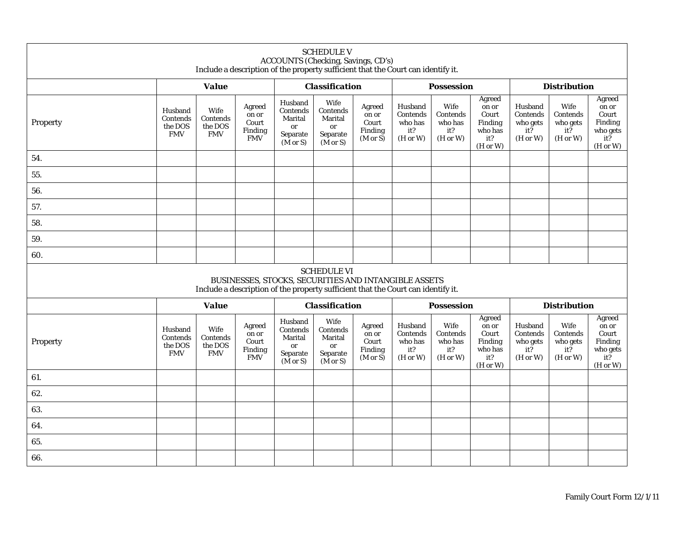| <b>SCHEDULE V</b><br>ACCOUNTS (Checking, Savings, CD's)<br>Include a description of the property sufficient that the Court can identify it. |                                              |                                                                                  |                                                          |                                                                         |                                                                                      |                                                            |                                                   |                                                |                                                                   |                                                    |                                                         |                                                                    |
|---------------------------------------------------------------------------------------------------------------------------------------------|----------------------------------------------|----------------------------------------------------------------------------------|----------------------------------------------------------|-------------------------------------------------------------------------|--------------------------------------------------------------------------------------|------------------------------------------------------------|---------------------------------------------------|------------------------------------------------|-------------------------------------------------------------------|----------------------------------------------------|---------------------------------------------------------|--------------------------------------------------------------------|
|                                                                                                                                             | <b>Value</b>                                 |                                                                                  |                                                          | <b>Classification</b>                                                   |                                                                                      | <b>Possession</b>                                          |                                                   |                                                | <b>Distribution</b>                                               |                                                    |                                                         |                                                                    |
| Property                                                                                                                                    | Husband<br>Contends<br>the DOS<br><b>FMV</b> | Wife<br>Contends<br>the DOS<br><b>FMV</b>                                        | Agreed<br>on or<br>Court<br>Finding<br><b>FMV</b>        | Husband<br>Contends<br>Marital<br>or<br>Separate<br>$(M \text{ or } S)$ | Wife<br>Contends<br>Marital<br>or<br>Separate<br>$(M \text{ or } S)$                 | Agreed<br>on or<br>Court<br>Finding<br>$(M \text{ or } S)$ | Husband<br>Contends<br>who has<br>it?<br>(H or W) | Wife<br>Contends<br>who has<br>it?<br>(H or W) | Agreed<br>on or<br>Court<br>Finding<br>who has<br>it?<br>(H or W) | Husband<br>Contends<br>who gets<br>it?<br>(H or W) | Wife<br>Contends<br>who gets<br>it?<br>(H or W)         | Agreed<br>on or<br>Court<br>Finding<br>who gets<br>it?<br>(H or W) |
| 54.                                                                                                                                         |                                              |                                                                                  |                                                          |                                                                         |                                                                                      |                                                            |                                                   |                                                |                                                                   |                                                    |                                                         |                                                                    |
| 55.                                                                                                                                         |                                              |                                                                                  |                                                          |                                                                         |                                                                                      |                                                            |                                                   |                                                |                                                                   |                                                    |                                                         |                                                                    |
| 56.                                                                                                                                         |                                              |                                                                                  |                                                          |                                                                         |                                                                                      |                                                            |                                                   |                                                |                                                                   |                                                    |                                                         |                                                                    |
| 57.                                                                                                                                         |                                              |                                                                                  |                                                          |                                                                         |                                                                                      |                                                            |                                                   |                                                |                                                                   |                                                    |                                                         |                                                                    |
| 58.                                                                                                                                         |                                              |                                                                                  |                                                          |                                                                         |                                                                                      |                                                            |                                                   |                                                |                                                                   |                                                    |                                                         |                                                                    |
| 59.                                                                                                                                         |                                              |                                                                                  |                                                          |                                                                         |                                                                                      |                                                            |                                                   |                                                |                                                                   |                                                    |                                                         |                                                                    |
| 60.                                                                                                                                         |                                              |                                                                                  |                                                          |                                                                         |                                                                                      |                                                            |                                                   |                                                |                                                                   |                                                    |                                                         |                                                                    |
|                                                                                                                                             |                                              | Include a description of the property sufficient that the Court can identify it. |                                                          |                                                                         | <b>SCHEDULE VI</b><br>BUSINESSES, STOCKS, SECURITIES AND INTANGIBLE ASSETS           |                                                            |                                                   |                                                |                                                                   |                                                    |                                                         |                                                                    |
|                                                                                                                                             |                                              | <b>Value</b>                                                                     |                                                          |                                                                         | <b>Classification</b>                                                                |                                                            |                                                   | <b>Possession</b>                              |                                                                   |                                                    | <b>Distribution</b>                                     |                                                                    |
| Property                                                                                                                                    | Husband<br>Contends<br>the DOS<br><b>FMV</b> | Wife<br>Contends<br>the DOS<br><b>FMV</b>                                        | Agreed<br>on or<br>Court<br><b>Finding</b><br><b>FMV</b> | Husband<br>Contends<br>Marital<br>or<br>Separate<br>$(M \text{ or } S)$ | Wife<br>$\mbox{Contents}$<br><b>Marital</b><br>or<br>Separate<br>$(M \text{ or } S)$ | Agreed<br>on or<br>Court<br>Finding<br>$(M \text{ or } S)$ | Husband<br>Contends<br>who has<br>it?<br>(H or W) | Wife<br>Contends<br>who has<br>it?<br>(H or W) | Agreed<br>on or<br>Court<br>Finding<br>who has<br>it?<br>(H or W) | Husband<br>Contends<br>who gets<br>it?<br>(H or W) | Wife<br>Contends<br>who gets<br>$it\bar{?}$<br>(H or W) | Agreed<br>on or<br>Court<br>Finding<br>who gets<br>it?<br>(H or W) |
| 61.                                                                                                                                         |                                              |                                                                                  |                                                          |                                                                         |                                                                                      |                                                            |                                                   |                                                |                                                                   |                                                    |                                                         |                                                                    |
| 62.                                                                                                                                         |                                              |                                                                                  |                                                          |                                                                         |                                                                                      |                                                            |                                                   |                                                |                                                                   |                                                    |                                                         |                                                                    |
| 63.                                                                                                                                         |                                              |                                                                                  |                                                          |                                                                         |                                                                                      |                                                            |                                                   |                                                |                                                                   |                                                    |                                                         |                                                                    |
| 64.                                                                                                                                         |                                              |                                                                                  |                                                          |                                                                         |                                                                                      |                                                            |                                                   |                                                |                                                                   |                                                    |                                                         |                                                                    |
| 65.                                                                                                                                         |                                              |                                                                                  |                                                          |                                                                         |                                                                                      |                                                            |                                                   |                                                |                                                                   |                                                    |                                                         |                                                                    |
| 66.                                                                                                                                         |                                              |                                                                                  |                                                          |                                                                         |                                                                                      |                                                            |                                                   |                                                |                                                                   |                                                    |                                                         |                                                                    |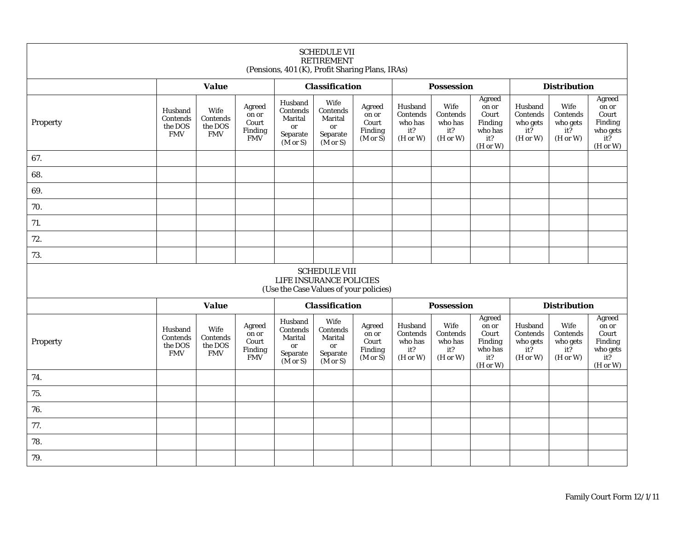| <b>SCHEDULE VII</b><br><b>RETIREMENT</b><br>(Pensions, 401 (K), Profit Sharing Plans, IRAs) |                                              |                                           |                                                   |                                                                         |                                                                                           |                                                            |                                                   |                                                |                                                                              |                                                            |                                                         |                                                                    |  |
|---------------------------------------------------------------------------------------------|----------------------------------------------|-------------------------------------------|---------------------------------------------------|-------------------------------------------------------------------------|-------------------------------------------------------------------------------------------|------------------------------------------------------------|---------------------------------------------------|------------------------------------------------|------------------------------------------------------------------------------|------------------------------------------------------------|---------------------------------------------------------|--------------------------------------------------------------------|--|
|                                                                                             |                                              | <b>Value</b>                              |                                                   |                                                                         | <b>Classification</b>                                                                     |                                                            |                                                   | <b>Possession</b>                              |                                                                              |                                                            | <b>Distribution</b>                                     |                                                                    |  |
| Property                                                                                    | Husband<br>Contends<br>the DOS<br><b>FMV</b> | Wife<br>Contends<br>the DOS<br><b>FMV</b> | Agreed<br>on or<br>Court<br>Finding<br><b>FMV</b> | Husband<br>Contends<br>Marital<br>or<br>Separate<br>$(M \text{ or } S)$ | Wife<br>Contends<br>Marital<br>or<br>Separate<br>$(M \text{ or } S)$                      | Agreed<br>on or<br>Court<br>Finding<br>$(M \text{ or } S)$ | Husband<br>Contends<br>who has<br>it?<br>(H or W) | Wife<br>Contends<br>who has<br>it?<br>(H or W) | Agreed<br>on or<br>Court<br>Finding<br>who has<br>it?<br>(H or W)            | Husband<br>Contends<br>who gets<br>$it\bar{?}$<br>(H or W) | Wife<br>Contends<br>who gets<br>$it\bar{?}$<br>(H or W) | Agreed<br>on or<br>Court<br>Finding<br>who gets<br>it?<br>(H or W) |  |
| 67.                                                                                         |                                              |                                           |                                                   |                                                                         |                                                                                           |                                                            |                                                   |                                                |                                                                              |                                                            |                                                         |                                                                    |  |
| 68.                                                                                         |                                              |                                           |                                                   |                                                                         |                                                                                           |                                                            |                                                   |                                                |                                                                              |                                                            |                                                         |                                                                    |  |
| 69.                                                                                         |                                              |                                           |                                                   |                                                                         |                                                                                           |                                                            |                                                   |                                                |                                                                              |                                                            |                                                         |                                                                    |  |
| 70.                                                                                         |                                              |                                           |                                                   |                                                                         |                                                                                           |                                                            |                                                   |                                                |                                                                              |                                                            |                                                         |                                                                    |  |
| 71.                                                                                         |                                              |                                           |                                                   |                                                                         |                                                                                           |                                                            |                                                   |                                                |                                                                              |                                                            |                                                         |                                                                    |  |
| 72.                                                                                         |                                              |                                           |                                                   |                                                                         |                                                                                           |                                                            |                                                   |                                                |                                                                              |                                                            |                                                         |                                                                    |  |
| 73.                                                                                         |                                              |                                           |                                                   |                                                                         |                                                                                           |                                                            |                                                   |                                                |                                                                              |                                                            |                                                         |                                                                    |  |
|                                                                                             |                                              |                                           |                                                   |                                                                         | <b>SCHEDULE VIII</b><br>LIFE INSURANCE POLICIES<br>(Use the Case Values of your policies) |                                                            |                                                   |                                                |                                                                              |                                                            |                                                         |                                                                    |  |
|                                                                                             |                                              | <b>Value</b>                              |                                                   | <b>Classification</b>                                                   |                                                                                           |                                                            | <b>Possession</b>                                 |                                                |                                                                              | <b>Distribution</b>                                        |                                                         |                                                                    |  |
| Property                                                                                    | Husband<br>Contends<br>the DOS<br><b>FMV</b> | Wife<br>Contends<br>the DOS<br><b>FMV</b> | Agreed<br>on or<br>Court<br>Finding<br><b>FMV</b> | Husband<br>Contends<br>Marital<br>or<br>Separate<br>$(M \text{ or } S)$ | Wife<br>Contends<br>Marital<br>or<br>Separate<br>$(M \text{ or } S)$                      | Agreed<br>on or<br>Court<br>Finding<br>$(M \text{ or } S)$ | Husband<br>Contends<br>who has<br>it?<br>(H or W) | Wife<br>Contends<br>who has<br>it?<br>(H or W) | Agreed<br>on or<br>Court<br>Finding<br>who has<br>it?<br>$(H \text{ or } W)$ | Husband<br>Contends<br>who gets<br>it?<br>(H or W)         | Wife<br>Contends<br>who gets<br>$it\bar{?}$<br>(H or W) | Agreed<br>on or<br>Court<br>Finding<br>who gets<br>it?<br>(H or W) |  |
| 74.                                                                                         |                                              |                                           |                                                   |                                                                         |                                                                                           |                                                            |                                                   |                                                |                                                                              |                                                            |                                                         |                                                                    |  |
| 75.                                                                                         |                                              |                                           |                                                   |                                                                         |                                                                                           |                                                            |                                                   |                                                |                                                                              |                                                            |                                                         |                                                                    |  |
| 76.                                                                                         |                                              |                                           |                                                   |                                                                         |                                                                                           |                                                            |                                                   |                                                |                                                                              |                                                            |                                                         |                                                                    |  |
| 77.                                                                                         |                                              |                                           |                                                   |                                                                         |                                                                                           |                                                            |                                                   |                                                |                                                                              |                                                            |                                                         |                                                                    |  |
| 78.                                                                                         |                                              |                                           |                                                   |                                                                         |                                                                                           |                                                            |                                                   |                                                |                                                                              |                                                            |                                                         |                                                                    |  |
| 79.                                                                                         |                                              |                                           |                                                   |                                                                         |                                                                                           |                                                            |                                                   |                                                |                                                                              |                                                            |                                                         |                                                                    |  |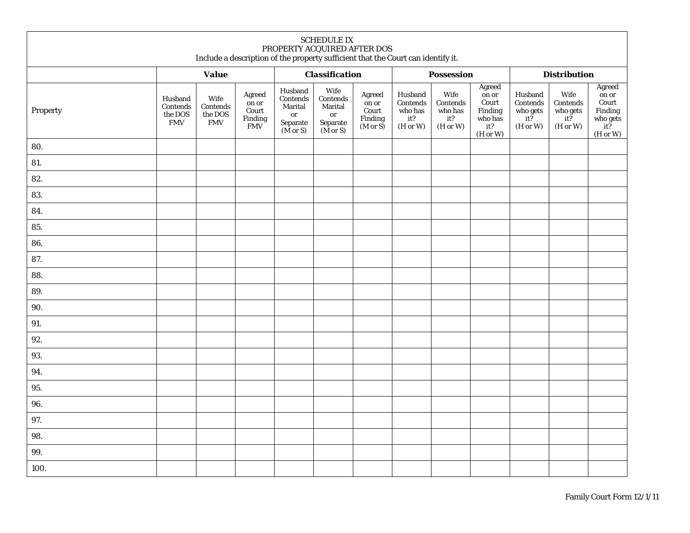| <b>SCHEDULE IX</b><br>PROPERTY ACQUIRED AFTER DOS<br>Include a description of the property sufficient that the Court can identify it. |                                              |                                           |                                                        |                                                                                 |                                                                              |                                                                      |                                                                          |                                                |                                                                                                    |                                                              |                                                   |                                                                      |  |
|---------------------------------------------------------------------------------------------------------------------------------------|----------------------------------------------|-------------------------------------------|--------------------------------------------------------|---------------------------------------------------------------------------------|------------------------------------------------------------------------------|----------------------------------------------------------------------|--------------------------------------------------------------------------|------------------------------------------------|----------------------------------------------------------------------------------------------------|--------------------------------------------------------------|---------------------------------------------------|----------------------------------------------------------------------|--|
|                                                                                                                                       |                                              | <b>Value</b>                              |                                                        |                                                                                 | <b>Classification</b>                                                        |                                                                      |                                                                          | <b>Possession</b>                              |                                                                                                    |                                                              | <b>Distribution</b>                               |                                                                      |  |
| Property                                                                                                                              | Husband<br>Contends<br>the DOS<br><b>FMV</b> | Wife<br>Contends<br>the DOS<br><b>FMV</b> | Agreed<br>$\,$ on or<br>Court<br>Finding<br><b>FMV</b> | Husband<br>Contends<br>Marital<br>or<br>${\bf Separate}$<br>$(M \text{ or } S)$ | Wife<br>Contends<br>Marital<br>or<br>${\bf Separate}$<br>$(M \text{ or } S)$ | Agreed<br>$\,$ on $\,$ or<br>Court<br>Finding<br>$(M \text{ or } S)$ | Husband<br>Contends<br>who has<br>it?<br>$(\mathrm{H\ or\ } \mathrm{W})$ | Wife<br>Contends<br>who has<br>it?<br>(H or W) | Agreed<br>on or<br>$\mbox{Court}$<br>$\ensuremath{\mathrm{Finding}}$<br>who has<br>it?<br>(H or W) | Husband<br>Contends<br>who gets<br>$it\tilde{?}$<br>(H or W) | Wife<br>Contends<br>who gets $\,$ it?<br>(H or W) | Agreed<br>on or<br>Court<br>Finding<br>who gets<br>$it?$<br>(H or W) |  |
| 80.                                                                                                                                   |                                              |                                           |                                                        |                                                                                 |                                                                              |                                                                      |                                                                          |                                                |                                                                                                    |                                                              |                                                   |                                                                      |  |
| 81.                                                                                                                                   |                                              |                                           |                                                        |                                                                                 |                                                                              |                                                                      |                                                                          |                                                |                                                                                                    |                                                              |                                                   |                                                                      |  |
| 82.                                                                                                                                   |                                              |                                           |                                                        |                                                                                 |                                                                              |                                                                      |                                                                          |                                                |                                                                                                    |                                                              |                                                   |                                                                      |  |
| 83.                                                                                                                                   |                                              |                                           |                                                        |                                                                                 |                                                                              |                                                                      |                                                                          |                                                |                                                                                                    |                                                              |                                                   |                                                                      |  |
| 84.                                                                                                                                   |                                              |                                           |                                                        |                                                                                 |                                                                              |                                                                      |                                                                          |                                                |                                                                                                    |                                                              |                                                   |                                                                      |  |
| 85.                                                                                                                                   |                                              |                                           |                                                        |                                                                                 |                                                                              |                                                                      |                                                                          |                                                |                                                                                                    |                                                              |                                                   |                                                                      |  |
| 86.                                                                                                                                   |                                              |                                           |                                                        |                                                                                 |                                                                              |                                                                      |                                                                          |                                                |                                                                                                    |                                                              |                                                   |                                                                      |  |
| 87.                                                                                                                                   |                                              |                                           |                                                        |                                                                                 |                                                                              |                                                                      |                                                                          |                                                |                                                                                                    |                                                              |                                                   |                                                                      |  |
| 88.                                                                                                                                   |                                              |                                           |                                                        |                                                                                 |                                                                              |                                                                      |                                                                          |                                                |                                                                                                    |                                                              |                                                   |                                                                      |  |
| 89.                                                                                                                                   |                                              |                                           |                                                        |                                                                                 |                                                                              |                                                                      |                                                                          |                                                |                                                                                                    |                                                              |                                                   |                                                                      |  |
| 90.                                                                                                                                   |                                              |                                           |                                                        |                                                                                 |                                                                              |                                                                      |                                                                          |                                                |                                                                                                    |                                                              |                                                   |                                                                      |  |
| 91.                                                                                                                                   |                                              |                                           |                                                        |                                                                                 |                                                                              |                                                                      |                                                                          |                                                |                                                                                                    |                                                              |                                                   |                                                                      |  |
| 92.                                                                                                                                   |                                              |                                           |                                                        |                                                                                 |                                                                              |                                                                      |                                                                          |                                                |                                                                                                    |                                                              |                                                   |                                                                      |  |
| 93.                                                                                                                                   |                                              |                                           |                                                        |                                                                                 |                                                                              |                                                                      |                                                                          |                                                |                                                                                                    |                                                              |                                                   |                                                                      |  |
| 94.                                                                                                                                   |                                              |                                           |                                                        |                                                                                 |                                                                              |                                                                      |                                                                          |                                                |                                                                                                    |                                                              |                                                   |                                                                      |  |
| 95.                                                                                                                                   |                                              |                                           |                                                        |                                                                                 |                                                                              |                                                                      |                                                                          |                                                |                                                                                                    |                                                              |                                                   |                                                                      |  |
| 96.                                                                                                                                   |                                              |                                           |                                                        |                                                                                 |                                                                              |                                                                      |                                                                          |                                                |                                                                                                    |                                                              |                                                   |                                                                      |  |
| 97.                                                                                                                                   |                                              |                                           |                                                        |                                                                                 |                                                                              |                                                                      |                                                                          |                                                |                                                                                                    |                                                              |                                                   |                                                                      |  |
| 98.                                                                                                                                   |                                              |                                           |                                                        |                                                                                 |                                                                              |                                                                      |                                                                          |                                                |                                                                                                    |                                                              |                                                   |                                                                      |  |
| 99.                                                                                                                                   |                                              |                                           |                                                        |                                                                                 |                                                                              |                                                                      |                                                                          |                                                |                                                                                                    |                                                              |                                                   |                                                                      |  |
| 100.                                                                                                                                  |                                              |                                           |                                                        |                                                                                 |                                                                              |                                                                      |                                                                          |                                                |                                                                                                    |                                                              |                                                   |                                                                      |  |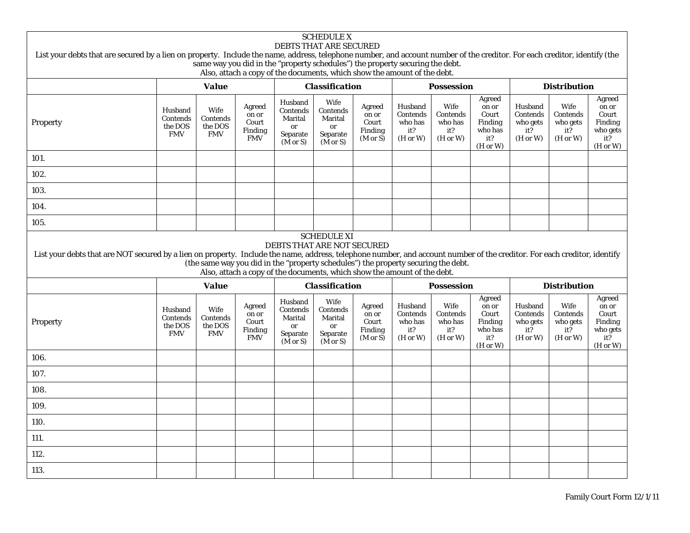## SCHEDULE X DEBTS THAT ARE SECURED List your debts that are secured by a lien on property. Include the name, address, telephone number, and account number of the creditor. For each creditor, identify (the same way you did in the "property schedules") the property securing the debt. Also, attach a copy of the documents, which show the amount of the debt. *Value Classification Possession Distribution* Property Husband Contends the DOS FMV Wife Contends the DOS FMV Agreed on or Court Finding FMV Husband Contends Marital or Separate (M or S) Wife Contends Marital or Separate (M or S) Agreed on or Court Finding (M or S) Husband Contends who has it? (H or W) Wife **Contends** who has it? (H or W) Agreed on or Court Finding who has it? (H or W) Husband Contends who gets it? (H or W) Wife Contends who gets it? (H or W) Agreed on or Court Finding who gets it? (H or W) 101.102.103.104.105.SCHEDULE XI DEBTS THAT ARE NOT SECURED List your debts that are NOT secured by a lien on property. Include the name, address, telephone number, and account number of the creditor. For each creditor, identify (the same way you did in the "property schedules") the property securing the debt. Also, attach a copy of the documents, which show the amount of the debt. *Value Classification Possession Distribution* Property Husband Contends the DOS FMV Wife Contends the DOS FMV Agreed on or Court Finding FMV Husband **Contends** Marital or Separate (M or S) Wife Contends Marital or Separate (M or S) Agreed on or Court Finding (M or S) Husband **Contends** who has it? (H or W) Wife Contends who has it? (H or W) Agreed on or Court Finding who has it? (H or W) Husband Contends who gets it? (H or W) Wife Contends who gets it? (H or W) Agreed on or Court Finding who gets it? (H or W) 106.107.108.109.110.111.112.113.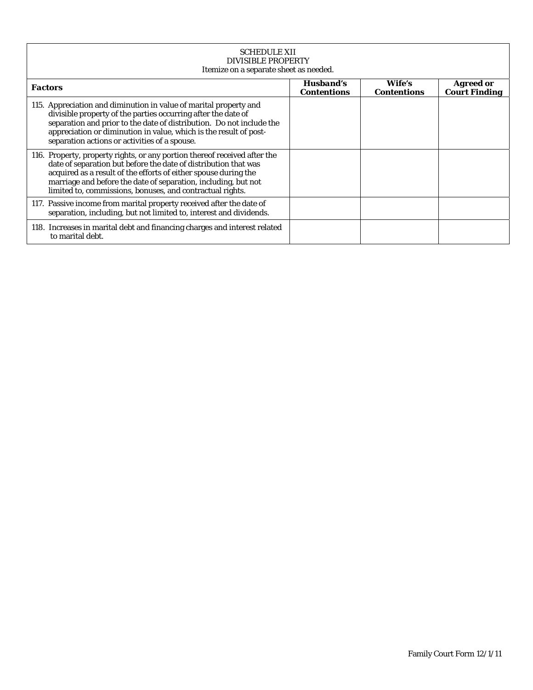| <b>SCHEDULE XII</b><br><b>DIVISIBLE PROPERTY</b><br>Itemize on a separate sheet as needed.                                                                                                                                                                                                                                                     |                                 |                              |                                          |  |  |  |  |  |  |  |  |
|------------------------------------------------------------------------------------------------------------------------------------------------------------------------------------------------------------------------------------------------------------------------------------------------------------------------------------------------|---------------------------------|------------------------------|------------------------------------------|--|--|--|--|--|--|--|--|
| <b>Factors</b>                                                                                                                                                                                                                                                                                                                                 | Husband's<br><b>Contentions</b> | Wife's<br><b>Contentions</b> | <b>Agreed or</b><br><b>Court Finding</b> |  |  |  |  |  |  |  |  |
| 115. Appreciation and diminution in value of marital property and<br>divisible property of the parties occurring after the date of<br>separation and prior to the date of distribution. Do not include the<br>appreciation or diminution in value, which is the result of post-<br>separation actions or activities of a spouse.               |                                 |                              |                                          |  |  |  |  |  |  |  |  |
| 116. Property, property rights, or any portion thereof received after the<br>date of separation but before the date of distribution that was<br>acquired as a result of the efforts of either spouse during the<br>marriage and before the date of separation, including, but not<br>limited to, commissions, bonuses, and contractual rights. |                                 |                              |                                          |  |  |  |  |  |  |  |  |
| 117. Passive income from marital property received after the date of<br>separation, including, but not limited to, interest and dividends.                                                                                                                                                                                                     |                                 |                              |                                          |  |  |  |  |  |  |  |  |
| 118. Increases in marital debt and financing charges and interest related<br>to marital debt.                                                                                                                                                                                                                                                  |                                 |                              |                                          |  |  |  |  |  |  |  |  |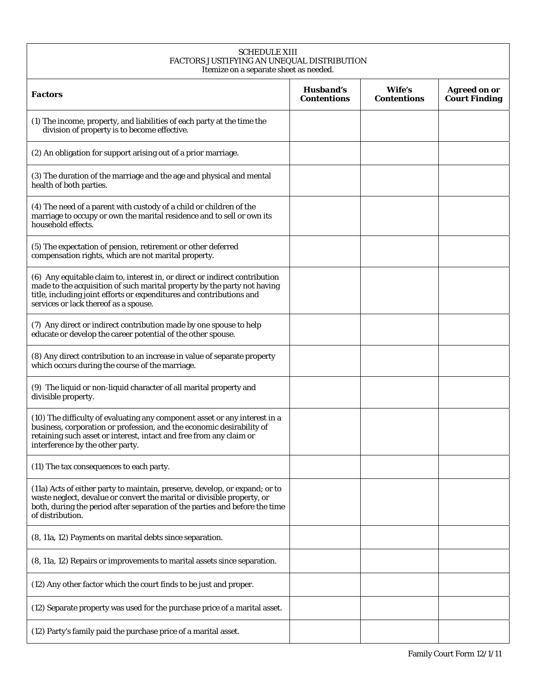| <b>SCHEDULE XIII</b><br>FACTORS JUSTIFYING AN UNEQUAL DISTRIBUTION<br>Itemize on a separate sheet as needed.                                                                                                                                                             |                                 |                              |                                             |
|--------------------------------------------------------------------------------------------------------------------------------------------------------------------------------------------------------------------------------------------------------------------------|---------------------------------|------------------------------|---------------------------------------------|
| <b>Factors</b>                                                                                                                                                                                                                                                           | Husband's<br><b>Contentions</b> | Wife's<br><b>Contentions</b> | <b>Agreed on or</b><br><b>Court Finding</b> |
| (1) The income, property, and liabilities of each party at the time the<br>division of property is to become effective.                                                                                                                                                  |                                 |                              |                                             |
| (2) An obligation for support arising out of a prior marriage.                                                                                                                                                                                                           |                                 |                              |                                             |
| (3) The duration of the marriage and the age and physical and mental<br>health of both parties.                                                                                                                                                                          |                                 |                              |                                             |
| (4) The need of a parent with custody of a child or children of the<br>marriage to occupy or own the marital residence and to sell or own its<br>household effects.                                                                                                      |                                 |                              |                                             |
| (5) The expectation of pension, retirement or other deferred<br>compensation rights, which are not marital property.                                                                                                                                                     |                                 |                              |                                             |
| (6) Any equitable claim to, interest in, or direct or indirect contribution<br>made to the acquisition of such marital property by the party not having<br>title, including joint efforts or expenditures and contributions and<br>services or lack thereof as a spouse. |                                 |                              |                                             |
| (7) Any direct or indirect contribution made by one spouse to help<br>educate or develop the career potential of the other spouse.                                                                                                                                       |                                 |                              |                                             |
| (8) Any direct contribution to an increase in value of separate property<br>which occurs during the course of the marriage.                                                                                                                                              |                                 |                              |                                             |
| (9) The liquid or non-liquid character of all marital property and<br>divisible property.                                                                                                                                                                                |                                 |                              |                                             |
| (10) The difficulty of evaluating any component asset or any interest in a<br>business, corporation or profession, and the economic desirability of<br>retaining such asset or interest, intact and free from any claim or<br>interference by the other party.           |                                 |                              |                                             |
| (11) The tax consequences to each party.                                                                                                                                                                                                                                 |                                 |                              |                                             |
| (11a) Acts of either party to maintain, preserve, develop, or expand; or to<br>waste neglect, devalue or convert the marital or divisible property, or<br>both, during the period after separation of the parties and before the time<br>of distribution.                |                                 |                              |                                             |
| (8, 11a, 12) Payments on marital debts since separation.                                                                                                                                                                                                                 |                                 |                              |                                             |
| (8, 11a, 12) Repairs or improvements to marital assets since separation.                                                                                                                                                                                                 |                                 |                              |                                             |
| (12) Any other factor which the court finds to be just and proper.                                                                                                                                                                                                       |                                 |                              |                                             |
| (12) Separate property was used for the purchase price of a marital asset.                                                                                                                                                                                               |                                 |                              |                                             |
| (12) Party's family paid the purchase price of a marital asset.                                                                                                                                                                                                          |                                 |                              |                                             |